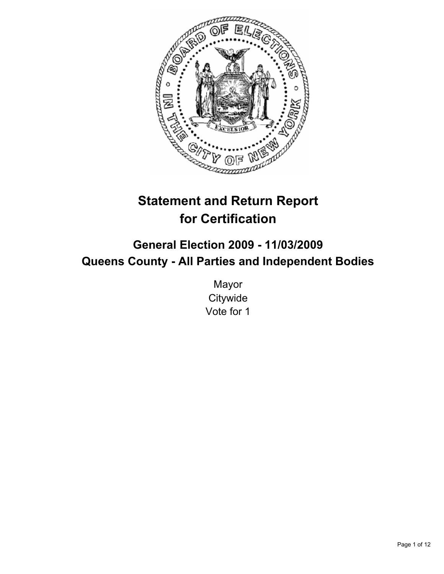

# **Statement and Return Report for Certification**

# **General Election 2009 - 11/03/2009 Queens County - All Parties and Independent Bodies**

Mayor **Citywide** Vote for 1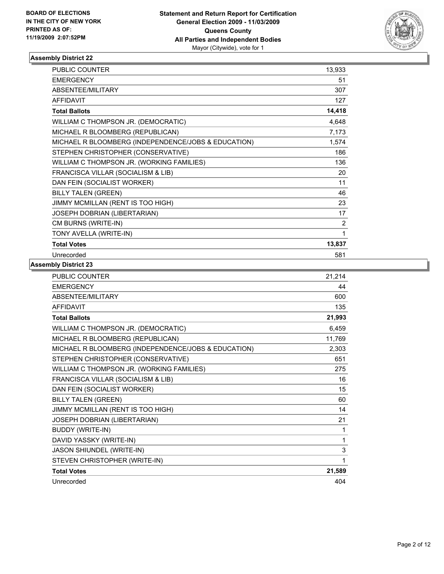

| <b>PUBLIC COUNTER</b>                               | 13,933 |
|-----------------------------------------------------|--------|
| <b>EMERGENCY</b>                                    | 51     |
| ABSENTEE/MILITARY                                   | 307    |
| <b>AFFIDAVIT</b>                                    | 127    |
| <b>Total Ballots</b>                                | 14,418 |
| WILLIAM C THOMPSON JR. (DEMOCRATIC)                 | 4,648  |
| MICHAEL R BLOOMBERG (REPUBLICAN)                    | 7,173  |
| MICHAEL R BLOOMBERG (INDEPENDENCE/JOBS & EDUCATION) | 1,574  |
| STEPHEN CHRISTOPHER (CONSERVATIVE)                  | 186    |
| WILLIAM C THOMPSON JR. (WORKING FAMILIES)           | 136    |
| FRANCISCA VILLAR (SOCIALISM & LIB)                  | 20     |
| DAN FEIN (SOCIALIST WORKER)                         | 11     |
| <b>BILLY TALEN (GREEN)</b>                          | 46     |
| JIMMY MCMILLAN (RENT IS TOO HIGH)                   | 23     |
| JOSEPH DOBRIAN (LIBERTARIAN)                        | 17     |
| CM BURNS (WRITE-IN)                                 | 2      |
| TONY AVELLA (WRITE-IN)                              | 1      |
| <b>Total Votes</b>                                  | 13,837 |
| Unrecorded                                          | 581    |

| <b>PUBLIC COUNTER</b>                               | 21,214 |
|-----------------------------------------------------|--------|
| <b>EMERGENCY</b>                                    | 44     |
| <b>ABSENTEE/MILITARY</b>                            | 600    |
| <b>AFFIDAVIT</b>                                    | 135    |
| <b>Total Ballots</b>                                | 21,993 |
| WILLIAM C THOMPSON JR. (DEMOCRATIC)                 | 6,459  |
| MICHAEL R BLOOMBERG (REPUBLICAN)                    | 11,769 |
| MICHAEL R BLOOMBERG (INDEPENDENCE/JOBS & EDUCATION) | 2,303  |
| STEPHEN CHRISTOPHER (CONSERVATIVE)                  | 651    |
| WILLIAM C THOMPSON JR. (WORKING FAMILIES)           | 275    |
| FRANCISCA VILLAR (SOCIALISM & LIB)                  | 16     |
| DAN FEIN (SOCIALIST WORKER)                         | 15     |
| <b>BILLY TALEN (GREEN)</b>                          | 60     |
| JIMMY MCMILLAN (RENT IS TOO HIGH)                   | 14     |
| JOSEPH DOBRIAN (LIBERTARIAN)                        | 21     |
| <b>BUDDY (WRITE-IN)</b>                             | 1      |
| DAVID YASSKY (WRITE-IN)                             | 1      |
| JASON SHIUNDEL (WRITE-IN)                           | 3      |
| STEVEN CHRISTOPHER (WRITE-IN)                       | 1      |
| <b>Total Votes</b>                                  | 21,589 |
| Unrecorded                                          | 404    |
|                                                     |        |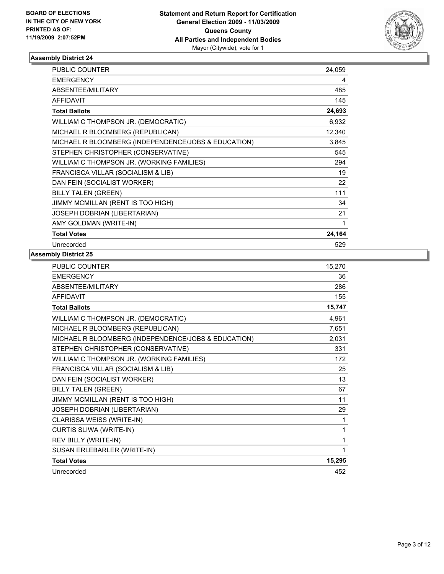

| <b>PUBLIC COUNTER</b>                               | 24.059 |
|-----------------------------------------------------|--------|
| <b>EMERGENCY</b>                                    | 4      |
| ABSENTEE/MILITARY                                   | 485    |
| <b>AFFIDAVIT</b>                                    | 145    |
| <b>Total Ballots</b>                                | 24,693 |
| WILLIAM C THOMPSON JR. (DEMOCRATIC)                 | 6,932  |
| MICHAEL R BLOOMBERG (REPUBLICAN)                    | 12,340 |
| MICHAEL R BLOOMBERG (INDEPENDENCE/JOBS & EDUCATION) | 3,845  |
| STEPHEN CHRISTOPHER (CONSERVATIVE)                  | 545    |
| WILLIAM C THOMPSON JR. (WORKING FAMILIES)           | 294    |
| FRANCISCA VILLAR (SOCIALISM & LIB)                  | 19     |
| DAN FEIN (SOCIALIST WORKER)                         | 22     |
| <b>BILLY TALEN (GREEN)</b>                          | 111    |
| JIMMY MCMILLAN (RENT IS TOO HIGH)                   | 34     |
| JOSEPH DOBRIAN (LIBERTARIAN)                        | 21     |
| AMY GOLDMAN (WRITE-IN)                              | 1      |
| <b>Total Votes</b>                                  | 24,164 |
| Unrecorded                                          | 529    |

| <b>PUBLIC COUNTER</b>                               | 15,270 |
|-----------------------------------------------------|--------|
| <b>EMERGENCY</b>                                    | 36     |
| ABSENTEE/MILITARY                                   | 286    |
| <b>AFFIDAVIT</b>                                    | 155    |
| <b>Total Ballots</b>                                | 15,747 |
| WILLIAM C THOMPSON JR. (DEMOCRATIC)                 | 4,961  |
| MICHAEL R BLOOMBERG (REPUBLICAN)                    | 7,651  |
| MICHAEL R BLOOMBERG (INDEPENDENCE/JOBS & EDUCATION) | 2,031  |
| STEPHEN CHRISTOPHER (CONSERVATIVE)                  | 331    |
| WILLIAM C THOMPSON JR. (WORKING FAMILIES)           | 172    |
| FRANCISCA VILLAR (SOCIALISM & LIB)                  | 25     |
| DAN FEIN (SOCIALIST WORKER)                         | 13     |
| <b>BILLY TALEN (GREEN)</b>                          | 67     |
| JIMMY MCMILLAN (RENT IS TOO HIGH)                   | 11     |
| JOSEPH DOBRIAN (LIBERTARIAN)                        | 29     |
| CLARISSA WEISS (WRITE-IN)                           | 1      |
| <b>CURTIS SLIWA (WRITE-IN)</b>                      | 1      |
| REV BILLY (WRITE-IN)                                | 1      |
| SUSAN ERLEBARLER (WRITE-IN)                         | 1      |
| <b>Total Votes</b>                                  | 15,295 |
| Unrecorded                                          | 452    |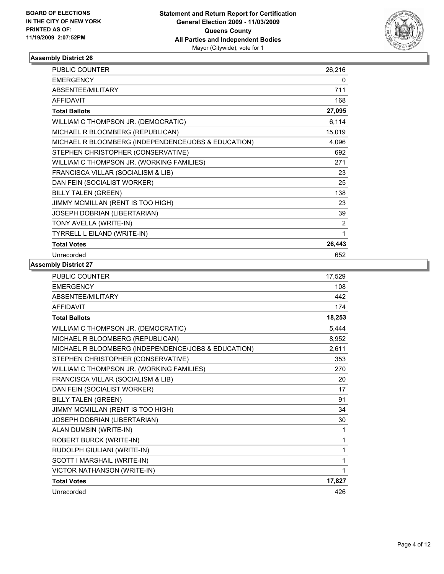

| <b>PUBLIC COUNTER</b>                               | 26,216 |
|-----------------------------------------------------|--------|
| <b>EMERGENCY</b>                                    | 0      |
| ABSENTEE/MILITARY                                   | 711    |
| <b>AFFIDAVIT</b>                                    | 168    |
| <b>Total Ballots</b>                                | 27,095 |
| WILLIAM C THOMPSON JR. (DEMOCRATIC)                 | 6,114  |
| MICHAEL R BLOOMBERG (REPUBLICAN)                    | 15,019 |
| MICHAEL R BLOOMBERG (INDEPENDENCE/JOBS & EDUCATION) | 4,096  |
| STEPHEN CHRISTOPHER (CONSERVATIVE)                  | 692    |
| WILLIAM C THOMPSON JR. (WORKING FAMILIES)           | 271    |
| FRANCISCA VILLAR (SOCIALISM & LIB)                  | 23     |
| DAN FEIN (SOCIALIST WORKER)                         | 25     |
| <b>BILLY TALEN (GREEN)</b>                          | 138    |
| JIMMY MCMILLAN (RENT IS TOO HIGH)                   | 23     |
| JOSEPH DOBRIAN (LIBERTARIAN)                        | 39     |
| TONY AVELLA (WRITE-IN)                              | 2      |
| TYRRELL L EILAND (WRITE-IN)                         | 1      |
| <b>Total Votes</b>                                  | 26,443 |
| Unrecorded                                          | 652    |

| <b>PUBLIC COUNTER</b>                               | 17,529 |
|-----------------------------------------------------|--------|
| <b>EMERGENCY</b>                                    | 108    |
| ABSENTEE/MILITARY                                   | 442    |
| <b>AFFIDAVIT</b>                                    | 174    |
| <b>Total Ballots</b>                                | 18,253 |
| WILLIAM C THOMPSON JR. (DEMOCRATIC)                 | 5,444  |
| MICHAEL R BLOOMBERG (REPUBLICAN)                    | 8,952  |
| MICHAEL R BLOOMBERG (INDEPENDENCE/JOBS & EDUCATION) | 2,611  |
| STEPHEN CHRISTOPHER (CONSERVATIVE)                  | 353    |
| WILLIAM C THOMPSON JR. (WORKING FAMILIES)           | 270    |
| FRANCISCA VILLAR (SOCIALISM & LIB)                  | 20     |
| DAN FEIN (SOCIALIST WORKER)                         | 17     |
| <b>BILLY TALEN (GREEN)</b>                          | 91     |
| JIMMY MCMILLAN (RENT IS TOO HIGH)                   | 34     |
| JOSEPH DOBRIAN (LIBERTARIAN)                        | 30     |
| ALAN DUMSIN (WRITE-IN)                              | 1      |
| ROBERT BURCK (WRITE-IN)                             | 1      |
| RUDOLPH GIULIANI (WRITE-IN)                         | 1      |
| SCOTT I MARSHAIL (WRITE-IN)                         | 1      |
| VICTOR NATHANSON (WRITE-IN)                         | 1      |
| <b>Total Votes</b>                                  | 17,827 |
| Unrecorded                                          | 426    |
|                                                     |        |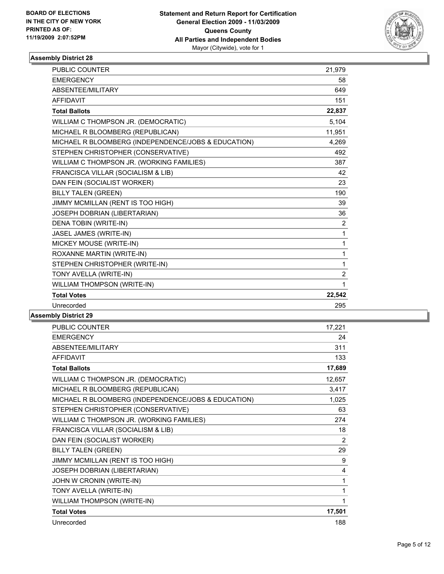

| <b>PUBLIC COUNTER</b>                               | 21,979         |
|-----------------------------------------------------|----------------|
| <b>EMERGENCY</b>                                    | 58             |
| ABSENTEE/MILITARY                                   | 649            |
| <b>AFFIDAVIT</b>                                    | 151            |
| <b>Total Ballots</b>                                | 22,837         |
| WILLIAM C THOMPSON JR. (DEMOCRATIC)                 | 5,104          |
| MICHAEL R BLOOMBERG (REPUBLICAN)                    | 11,951         |
| MICHAEL R BLOOMBERG (INDEPENDENCE/JOBS & EDUCATION) | 4,269          |
| STEPHEN CHRISTOPHER (CONSERVATIVE)                  | 492            |
| WILLIAM C THOMPSON JR. (WORKING FAMILIES)           | 387            |
| FRANCISCA VILLAR (SOCIALISM & LIB)                  | 42             |
| DAN FEIN (SOCIALIST WORKER)                         | 23             |
| <b>BILLY TALEN (GREEN)</b>                          | 190            |
| JIMMY MCMILLAN (RENT IS TOO HIGH)                   | 39             |
| JOSEPH DOBRIAN (LIBERTARIAN)                        | 36             |
| DENA TOBIN (WRITE-IN)                               | $\overline{2}$ |
| JASEL JAMES (WRITE-IN)                              | 1              |
| MICKEY MOUSE (WRITE-IN)                             | $\mathbf{1}$   |
| ROXANNE MARTIN (WRITE-IN)                           | $\mathbf{1}$   |
| STEPHEN CHRISTOPHER (WRITE-IN)                      | $\mathbf{1}$   |
| TONY AVELLA (WRITE-IN)                              | $\overline{2}$ |
| WILLIAM THOMPSON (WRITE-IN)                         | 1              |
| <b>Total Votes</b>                                  | 22,542         |
| Unrecorded                                          | 295            |
|                                                     |                |

| <b>PUBLIC COUNTER</b>                               | 17,221 |
|-----------------------------------------------------|--------|
| <b>EMERGENCY</b>                                    | 24     |
| ABSENTEE/MILITARY                                   | 311    |
| <b>AFFIDAVIT</b>                                    | 133    |
| <b>Total Ballots</b>                                | 17,689 |
| WILLIAM C THOMPSON JR. (DEMOCRATIC)                 | 12,657 |
| MICHAEL R BLOOMBERG (REPUBLICAN)                    | 3,417  |
| MICHAEL R BLOOMBERG (INDEPENDENCE/JOBS & EDUCATION) | 1,025  |
| STEPHEN CHRISTOPHER (CONSERVATIVE)                  | 63     |
| WILLIAM C THOMPSON JR. (WORKING FAMILIES)           | 274    |
| FRANCISCA VILLAR (SOCIALISM & LIB)                  | 18     |
| DAN FEIN (SOCIALIST WORKER)                         | 2      |
| <b>BILLY TALEN (GREEN)</b>                          | 29     |
| JIMMY MCMILLAN (RENT IS TOO HIGH)                   | 9      |
| JOSEPH DOBRIAN (LIBERTARIAN)                        | 4      |
| JOHN W CRONIN (WRITE-IN)                            | 1      |
| TONY AVELLA (WRITE-IN)                              | 1      |
| WILLIAM THOMPSON (WRITE-IN)                         | 1      |
| <b>Total Votes</b>                                  | 17,501 |
| Unrecorded                                          | 188    |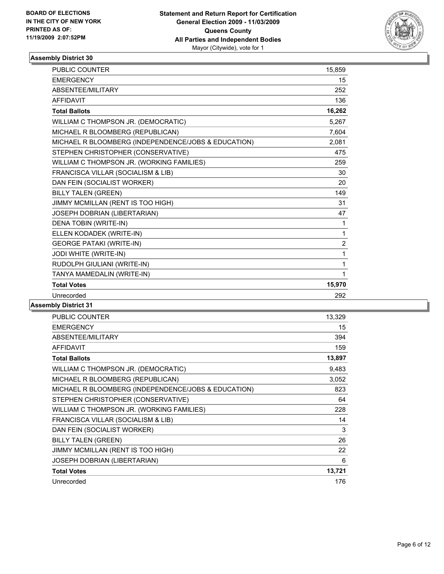

| <b>PUBLIC COUNTER</b>                               | 15,859         |
|-----------------------------------------------------|----------------|
| <b>EMERGENCY</b>                                    | 15             |
| ABSENTEE/MILITARY                                   | 252            |
| <b>AFFIDAVIT</b>                                    | 136            |
| <b>Total Ballots</b>                                | 16,262         |
| WILLIAM C THOMPSON JR. (DEMOCRATIC)                 | 5,267          |
| MICHAEL R BLOOMBERG (REPUBLICAN)                    | 7,604          |
| MICHAEL R BLOOMBERG (INDEPENDENCE/JOBS & EDUCATION) | 2,081          |
| STEPHEN CHRISTOPHER (CONSERVATIVE)                  | 475            |
| WILLIAM C THOMPSON JR. (WORKING FAMILIES)           | 259            |
| FRANCISCA VILLAR (SOCIALISM & LIB)                  | 30             |
| DAN FEIN (SOCIALIST WORKER)                         | 20             |
| <b>BILLY TALEN (GREEN)</b>                          | 149            |
| JIMMY MCMILLAN (RENT IS TOO HIGH)                   | 31             |
| JOSEPH DOBRIAN (LIBERTARIAN)                        | 47             |
| DENA TOBIN (WRITE-IN)                               | 1              |
| ELLEN KODADEK (WRITE-IN)                            | 1              |
| <b>GEORGE PATAKI (WRITE-IN)</b>                     | $\overline{2}$ |
| JODI WHITE (WRITE-IN)                               | 1              |
| RUDOLPH GIULIANI (WRITE-IN)                         | 1              |
| TANYA MAMEDALIN (WRITE-IN)                          | 1              |
| <b>Total Votes</b>                                  | 15,970         |
| Unrecorded                                          | 292            |

| <b>PUBLIC COUNTER</b>                               | 13,329 |
|-----------------------------------------------------|--------|
| <b>EMERGENCY</b>                                    | 15     |
| ABSENTEE/MILITARY                                   | 394    |
| <b>AFFIDAVIT</b>                                    | 159    |
| <b>Total Ballots</b>                                | 13,897 |
| WILLIAM C THOMPSON JR. (DEMOCRATIC)                 | 9,483  |
| MICHAEL R BLOOMBERG (REPUBLICAN)                    | 3,052  |
| MICHAEL R BLOOMBERG (INDEPENDENCE/JOBS & EDUCATION) | 823    |
| STEPHEN CHRISTOPHER (CONSERVATIVE)                  | 64     |
| WILLIAM C THOMPSON JR. (WORKING FAMILIES)           | 228    |
| FRANCISCA VILLAR (SOCIALISM & LIB)                  | 14     |
| DAN FEIN (SOCIALIST WORKER)                         | 3      |
| <b>BILLY TALEN (GREEN)</b>                          | 26     |
| JIMMY MCMILLAN (RENT IS TOO HIGH)                   | 22     |
| <b>JOSEPH DOBRIAN (LIBERTARIAN)</b>                 | 6      |
| <b>Total Votes</b>                                  | 13,721 |
| Unrecorded                                          | 176    |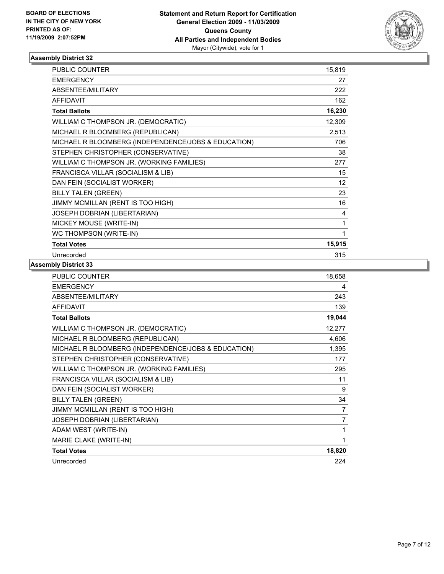

| PUBLIC COUNTER                                      | 15,819          |
|-----------------------------------------------------|-----------------|
| <b>EMERGENCY</b>                                    | 27              |
| ABSENTEE/MILITARY                                   | 222             |
| <b>AFFIDAVIT</b>                                    | 162             |
| <b>Total Ballots</b>                                | 16,230          |
| WILLIAM C THOMPSON JR. (DEMOCRATIC)                 | 12,309          |
| MICHAEL R BLOOMBERG (REPUBLICAN)                    | 2,513           |
| MICHAEL R BLOOMBERG (INDEPENDENCE/JOBS & EDUCATION) | 706             |
| STEPHEN CHRISTOPHER (CONSERVATIVE)                  | 38              |
| WILLIAM C THOMPSON JR. (WORKING FAMILIES)           | 277             |
| FRANCISCA VILLAR (SOCIALISM & LIB)                  | 15              |
| DAN FEIN (SOCIALIST WORKER)                         | 12 <sup>2</sup> |
| <b>BILLY TALEN (GREEN)</b>                          | 23              |
| JIMMY MCMILLAN (RENT IS TOO HIGH)                   | 16              |
| JOSEPH DOBRIAN (LIBERTARIAN)                        | 4               |
| MICKEY MOUSE (WRITE-IN)                             | 1               |
| WC THOMPSON (WRITE-IN)                              | 1               |
| <b>Total Votes</b>                                  | 15,915          |
| Unrecorded                                          | 315             |

| PUBLIC COUNTER                                      | 18,658 |
|-----------------------------------------------------|--------|
| <b>EMERGENCY</b>                                    | 4      |
| <b>ABSENTEE/MILITARY</b>                            | 243    |
| <b>AFFIDAVIT</b>                                    | 139    |
| <b>Total Ballots</b>                                | 19,044 |
| WILLIAM C THOMPSON JR. (DEMOCRATIC)                 | 12,277 |
| MICHAEL R BLOOMBERG (REPUBLICAN)                    | 4,606  |
| MICHAEL R BLOOMBERG (INDEPENDENCE/JOBS & EDUCATION) | 1,395  |
| STEPHEN CHRISTOPHER (CONSERVATIVE)                  | 177    |
| WILLIAM C THOMPSON JR. (WORKING FAMILIES)           | 295    |
| FRANCISCA VILLAR (SOCIALISM & LIB)                  | 11     |
| DAN FEIN (SOCIALIST WORKER)                         | 9      |
| <b>BILLY TALEN (GREEN)</b>                          | 34     |
| JIMMY MCMILLAN (RENT IS TOO HIGH)                   | 7      |
| JOSEPH DOBRIAN (LIBERTARIAN)                        | 7      |
| ADAM WEST (WRITE-IN)                                | 1      |
| MARIE CLAKE (WRITE-IN)                              | 1      |
| <b>Total Votes</b>                                  | 18,820 |
| Unrecorded                                          | 224    |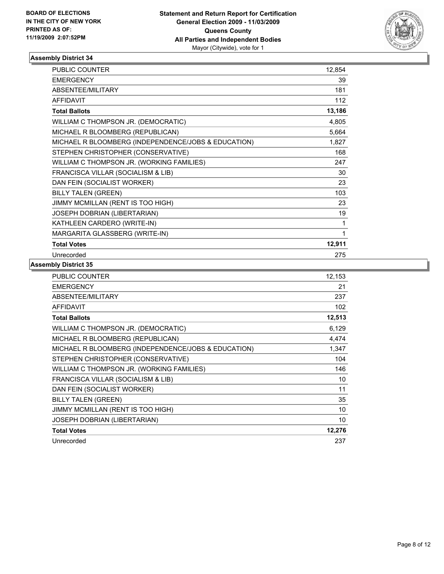

| <b>PUBLIC COUNTER</b>                               | 12,854 |
|-----------------------------------------------------|--------|
| <b>EMERGENCY</b>                                    | 39     |
| ABSENTEE/MILITARY                                   | 181    |
| <b>AFFIDAVIT</b>                                    | 112    |
| <b>Total Ballots</b>                                | 13,186 |
| WILLIAM C THOMPSON JR. (DEMOCRATIC)                 | 4,805  |
| MICHAEL R BLOOMBERG (REPUBLICAN)                    | 5,664  |
| MICHAEL R BLOOMBERG (INDEPENDENCE/JOBS & EDUCATION) | 1,827  |
| STEPHEN CHRISTOPHER (CONSERVATIVE)                  | 168    |
| WILLIAM C THOMPSON JR. (WORKING FAMILIES)           | 247    |
| FRANCISCA VILLAR (SOCIALISM & LIB)                  | 30     |
| DAN FEIN (SOCIALIST WORKER)                         | 23     |
| <b>BILLY TALEN (GREEN)</b>                          | 103    |
| JIMMY MCMILLAN (RENT IS TOO HIGH)                   | 23     |
| JOSEPH DOBRIAN (LIBERTARIAN)                        | 19     |
| KATHLEEN CARDERO (WRITE-IN)                         | 1      |
| MARGARITA GLASSBERG (WRITE-IN)                      | 1      |
| <b>Total Votes</b>                                  | 12,911 |
| Unrecorded                                          | 275    |

| <b>PUBLIC COUNTER</b>                               | 12,153 |
|-----------------------------------------------------|--------|
| <b>EMERGENCY</b>                                    | 21     |
| ABSENTEE/MILITARY                                   | 237    |
| AFFIDAVIT                                           | 102    |
| <b>Total Ballots</b>                                | 12,513 |
| WILLIAM C THOMPSON JR. (DEMOCRATIC)                 | 6,129  |
| MICHAEL R BLOOMBERG (REPUBLICAN)                    | 4,474  |
| MICHAEL R BLOOMBERG (INDEPENDENCE/JOBS & EDUCATION) | 1,347  |
| STEPHEN CHRISTOPHER (CONSERVATIVE)                  | 104    |
| WILLIAM C THOMPSON JR. (WORKING FAMILIES)           | 146    |
| FRANCISCA VILLAR (SOCIALISM & LIB)                  | 10     |
| DAN FEIN (SOCIALIST WORKER)                         | 11     |
| <b>BILLY TALEN (GREEN)</b>                          | 35     |
| JIMMY MCMILLAN (RENT IS TOO HIGH)                   | 10     |
| <b>JOSEPH DOBRIAN (LIBERTARIAN)</b>                 | 10     |
| <b>Total Votes</b>                                  | 12,276 |
| Unrecorded                                          | 237    |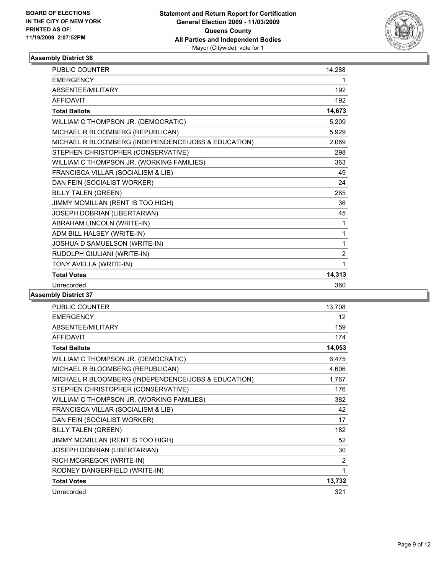

| <b>PUBLIC COUNTER</b>                               | 14,288         |
|-----------------------------------------------------|----------------|
| <b>EMERGENCY</b>                                    | 1              |
| <b>ABSENTEE/MILITARY</b>                            | 192            |
| <b>AFFIDAVIT</b>                                    | 192            |
| <b>Total Ballots</b>                                | 14,673         |
| WILLIAM C THOMPSON JR. (DEMOCRATIC)                 | 5,209          |
| MICHAEL R BLOOMBERG (REPUBLICAN)                    | 5,929          |
| MICHAEL R BLOOMBERG (INDEPENDENCE/JOBS & EDUCATION) | 2,069          |
| STEPHEN CHRISTOPHER (CONSERVATIVE)                  | 298            |
| WILLIAM C THOMPSON JR. (WORKING FAMILIES)           | 363            |
| FRANCISCA VILLAR (SOCIALISM & LIB)                  | 49             |
| DAN FEIN (SOCIALIST WORKER)                         | 24             |
| <b>BILLY TALEN (GREEN)</b>                          | 285            |
| JIMMY MCMILLAN (RENT IS TOO HIGH)                   | 36             |
| JOSEPH DOBRIAN (LIBERTARIAN)                        | 45             |
| ABRAHAM LINCOLN (WRITE-IN)                          | 1              |
| ADM BILL HALSEY (WRITE-IN)                          | 1              |
| JOSHUA D SAMUELSON (WRITE-IN)                       | 1              |
| RUDOLPH GIULIANI (WRITE-IN)                         | $\overline{2}$ |
| TONY AVELLA (WRITE-IN)                              | 1              |
| <b>Total Votes</b>                                  | 14,313         |
| Unrecorded                                          | 360            |

| PUBLIC COUNTER                                      | 13,708          |
|-----------------------------------------------------|-----------------|
| <b>EMERGENCY</b>                                    | 12 <sup>°</sup> |
| ABSENTEE/MILITARY                                   | 159             |
| <b>AFFIDAVIT</b>                                    | 174             |
| <b>Total Ballots</b>                                | 14,053          |
| WILLIAM C THOMPSON JR. (DEMOCRATIC)                 | 6,475           |
| MICHAEL R BLOOMBERG (REPUBLICAN)                    | 4,606           |
| MICHAEL R BLOOMBERG (INDEPENDENCE/JOBS & EDUCATION) | 1,767           |
| STEPHEN CHRISTOPHER (CONSERVATIVE)                  | 176             |
| WILLIAM C THOMPSON JR. (WORKING FAMILIES)           | 382             |
| FRANCISCA VILLAR (SOCIALISM & LIB)                  | 42              |
| DAN FEIN (SOCIALIST WORKER)                         | 17              |
| <b>BILLY TALEN (GREEN)</b>                          | 182             |
| JIMMY MCMILLAN (RENT IS TOO HIGH)                   | 52              |
| JOSEPH DOBRIAN (LIBERTARIAN)                        | 30              |
| RICH MCGREGOR (WRITE-IN)                            | 2               |
| RODNEY DANGERFIELD (WRITE-IN)                       | 1               |
| <b>Total Votes</b>                                  | 13,732          |
| Unrecorded                                          | 321             |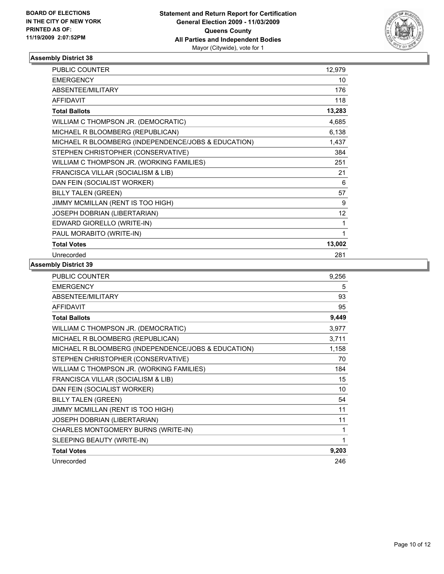

| <b>PUBLIC COUNTER</b>                               | 12,979 |
|-----------------------------------------------------|--------|
| <b>EMERGENCY</b>                                    | 10     |
| ABSENTEE/MILITARY                                   | 176    |
| <b>AFFIDAVIT</b>                                    | 118    |
| <b>Total Ballots</b>                                | 13,283 |
| WILLIAM C THOMPSON JR. (DEMOCRATIC)                 | 4,685  |
| MICHAEL R BLOOMBERG (REPUBLICAN)                    | 6,138  |
| MICHAEL R BLOOMBERG (INDEPENDENCE/JOBS & EDUCATION) | 1,437  |
| STEPHEN CHRISTOPHER (CONSERVATIVE)                  | 384    |
| WILLIAM C THOMPSON JR. (WORKING FAMILIES)           | 251    |
| FRANCISCA VILLAR (SOCIALISM & LIB)                  | 21     |
| DAN FEIN (SOCIALIST WORKER)                         | 6      |
| <b>BILLY TALEN (GREEN)</b>                          | 57     |
| JIMMY MCMILLAN (RENT IS TOO HIGH)                   | 9      |
| JOSEPH DOBRIAN (LIBERTARIAN)                        | 12     |
| EDWARD GIORELLO (WRITE-IN)                          | 1      |
| PAUL MORABITO (WRITE-IN)                            | 1      |
| <b>Total Votes</b>                                  | 13,002 |
| Unrecorded                                          | 281    |

| PUBLIC COUNTER                                      | 9,256 |
|-----------------------------------------------------|-------|
| <b>EMERGENCY</b>                                    | 5     |
| ABSENTEE/MILITARY                                   | 93    |
| <b>AFFIDAVIT</b>                                    | 95    |
| <b>Total Ballots</b>                                | 9,449 |
| WILLIAM C THOMPSON JR. (DEMOCRATIC)                 | 3,977 |
| MICHAEL R BLOOMBERG (REPUBLICAN)                    | 3,711 |
| MICHAEL R BLOOMBERG (INDEPENDENCE/JOBS & EDUCATION) | 1,158 |
| STEPHEN CHRISTOPHER (CONSERVATIVE)                  | 70    |
| WILLIAM C THOMPSON JR. (WORKING FAMILIES)           | 184   |
| FRANCISCA VILLAR (SOCIALISM & LIB)                  | 15    |
| DAN FEIN (SOCIALIST WORKER)                         | 10    |
| <b>BILLY TALEN (GREEN)</b>                          | 54    |
| JIMMY MCMILLAN (RENT IS TOO HIGH)                   | 11    |
| JOSEPH DOBRIAN (LIBERTARIAN)                        | 11    |
| CHARLES MONTGOMERY BURNS (WRITE-IN)                 | 1     |
| SLEEPING BEAUTY (WRITE-IN)                          | 1     |
| <b>Total Votes</b>                                  | 9,203 |
| Unrecorded                                          | 246   |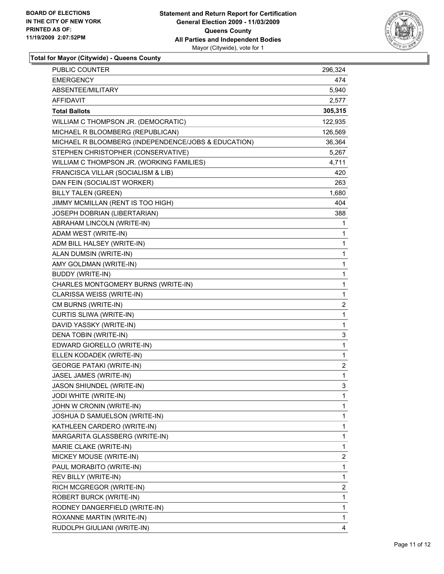

**Total for Mayor (Citywide) - Queens County**

| PUBLIC COUNTER                                      | 296,324 |
|-----------------------------------------------------|---------|
| <b>EMERGENCY</b>                                    | 474     |
| ABSENTEE/MILITARY                                   | 5,940   |
| AFFIDAVIT                                           | 2,577   |
| <b>Total Ballots</b>                                | 305,315 |
| WILLIAM C THOMPSON JR. (DEMOCRATIC)                 | 122,935 |
| MICHAEL R BLOOMBERG (REPUBLICAN)                    | 126,569 |
| MICHAEL R BLOOMBERG (INDEPENDENCE/JOBS & EDUCATION) | 36,364  |
| STEPHEN CHRISTOPHER (CONSERVATIVE)                  | 5,267   |
| WILLIAM C THOMPSON JR. (WORKING FAMILIES)           | 4,711   |
| FRANCISCA VILLAR (SOCIALISM & LIB)                  | 420     |
| DAN FEIN (SOCIALIST WORKER)                         | 263     |
| <b>BILLY TALEN (GREEN)</b>                          | 1,680   |
| JIMMY MCMILLAN (RENT IS TOO HIGH)                   | 404     |
| JOSEPH DOBRIAN (LIBERTARIAN)                        | 388     |
| ABRAHAM LINCOLN (WRITE-IN)                          | 1       |
| ADAM WEST (WRITE-IN)                                | 1       |
| ADM BILL HALSEY (WRITE-IN)                          | 1       |
| ALAN DUMSIN (WRITE-IN)                              | 1       |
| AMY GOLDMAN (WRITE-IN)                              | 1       |
| <b>BUDDY (WRITE-IN)</b>                             | 1       |
| CHARLES MONTGOMERY BURNS (WRITE-IN)                 | 1       |
| CLARISSA WEISS (WRITE-IN)                           | 1       |
| CM BURNS (WRITE-IN)                                 | 2       |
| CURTIS SLIWA (WRITE-IN)                             | 1       |
| DAVID YASSKY (WRITE-IN)                             | 1       |
| DENA TOBIN (WRITE-IN)                               | 3       |
| EDWARD GIORELLO (WRITE-IN)                          | 1       |
| ELLEN KODADEK (WRITE-IN)                            | 1       |
| <b>GEORGE PATAKI (WRITE-IN)</b>                     | 2       |
| JASEL JAMES (WRITE-IN)                              | 1       |
| JASON SHIUNDEL (WRITE-IN)                           | 3       |
| JODI WHITE (WRITE-IN)                               | 1       |
| JOHN W CRONIN (WRITE-IN)                            | 1       |
| JOSHUA D SAMUELSON (WRITE-IN)                       | 1       |
| KATHLEEN CARDERO (WRITE-IN)                         | 1       |
| MARGARITA GLASSBERG (WRITE-IN)                      | 1       |
| MARIE CLAKE (WRITE-IN)                              | 1       |
| MICKEY MOUSE (WRITE-IN)                             | 2       |
| PAUL MORABITO (WRITE-IN)                            | 1       |
| <b>REV BILLY (WRITE-IN)</b>                         | 1       |
| RICH MCGREGOR (WRITE-IN)                            | 2       |
| ROBERT BURCK (WRITE-IN)                             | 1       |
| RODNEY DANGERFIELD (WRITE-IN)                       | 1       |
| ROXANNE MARTIN (WRITE-IN)                           | 1       |
| RUDOLPH GIULIANI (WRITE-IN)                         | 4       |